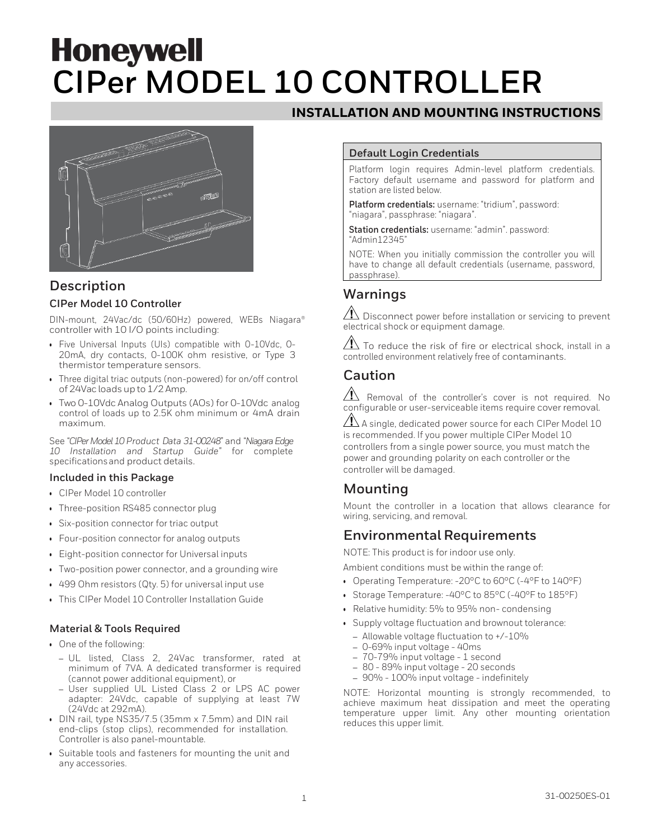# **Honeywell CIPer MODEL 10 CONTROLLER**



## **Description**

## **CIPer Model 10 Controller**

DIN-mount, 24Vac/dc (50/60Hz) powered, WEBs Niagara® controller with 10 I/O points including:

- Five Universal Inputs (UIs) compatible with 0-10Vdc, 0- 20mA, dry contacts, 0-100K ohm resistive, or Type 3 thermistor temperature sensors.
- Three digital triac outputs (non-powered) for on/off control of 24Vac loads up to 1/2 Amp.
- Two 0-10Vdc Analog Outputs (AOs) for 0-10Vdc analog control of loads up to 2.5K ohm minimum or 4mA drain maximum.

See "*CIPer Model 10 Product Data 31-00248*" and "*Niagara Edge 10 Installation and Startup Guide"* for complete specificationsand product details.

## **Included in this Package**

- CIPer Model 10 controller
- Three-position RS485 connector plug
- Six-position connector for triac output
- Four-position connector for analog outputs
- Eight-position connector for Universal inputs
- Two-position power connector, and a grounding wire
- 499 Ohm resistors (Qty. 5) for universal input use
- This CIPer Model 10 Controller Installation Guide

## **Material & Tools Required**

- One of the following:
	- UL listed, Class 2, 24Vac transformer, rated at minimum of 7VA. A dedicated transformer is required (cannot power additional equipment), or
	- User supplied UL Listed Class 2 or LPS AC power adapter: 24Vdc, capable of supplying at least 7W (24Vdc at 292mA).
- DIN rail, type NS35/7.5 (35mm x 7.5mm) and DIN rail end-clips (stop clips), recommended for installation. Controller is also panel-mountable.
- Suitable tools and fasteners for mounting the unit and any accessories.

## **INSTALLATION AND MOUNTING INSTRUCTIONS**

#### **Default Login Credentials**

Platform login requires Admin-level platform credentials. Factory default username and password for platform and station are listed below.

**Platform credentials:** username: "tridium", password: "niagara", passphrase: "niagara".

**Station credentials:** username: "admin". password: "Admin12345"

NOTE: When you initially commission the controller you will have to change all default credentials (username, password, passphrase).

## **Warnings**

 $\sqrt{\phantom{a}}\phantom{a}$  Disconnect power before installation or servicing to prevent electrical shock or equipment damage.

 $\sqrt{!}$  To reduce the risk of fire or electrical shock, install in a controlled environment relatively free of contaminants.

## **Caution**

 $\sqrt{1}$  Removal of the controller's cover is not required. No configurable or user-serviceable items require cover removal.

 $\sqrt{1}$  A single, dedicated power source for each CIPer Model 10 is recommended. If you power multiple CIPer Model 10 controllers from a single power source, you must match the power and grounding polarity on each controller or the controller will be damaged.

## **Mounting**

Mount the controller in a location that allows clearance for wiring, servicing, and removal.

## **Environmental Requirements**

NOTE: This product is for indoor use only.

Ambient conditions must be within the range of:

- Operating Temperature: -20°C to 60°C (-4°F to 140°F)
- Storage Temperature: -40°C to 85°C (-40°F to 185°F)
- Relative humidity: 5% to 95% non- condensing
- Supply voltage fluctuation and brownout tolerance:
	- Allowable voltage fluctuation to +/-10%
	- 0-69% input voltage 40ms
	- 70-79% input voltage 1 second
	- 80 89% input voltage 20 seconds
	- 90% 100% input voltage indefinitely

NOTE: Horizontal mounting is strongly recommended, to achieve maximum heat dissipation and meet the operating temperature upper limit. Any other mounting orientation reduces this upper limit.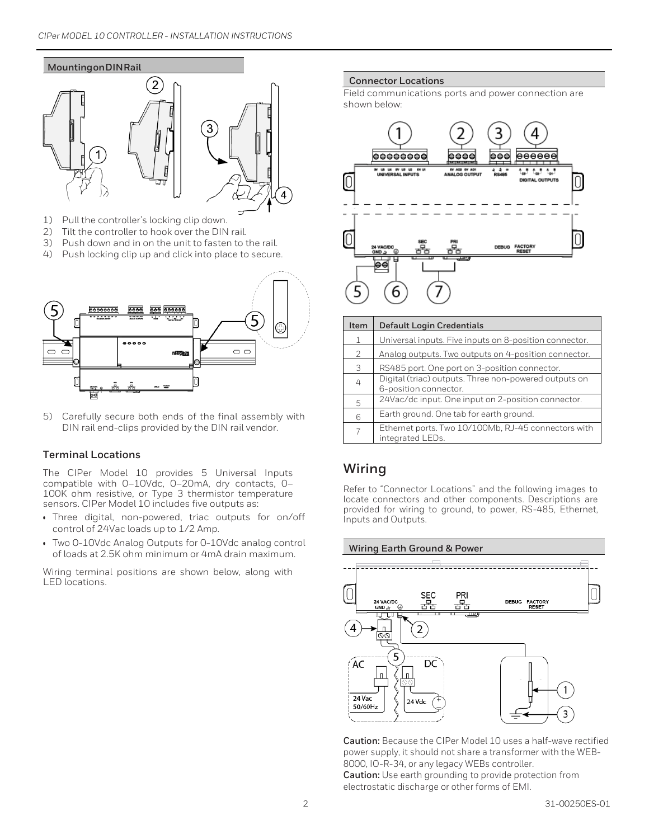



5) Carefully secure both ends of the final assembly with DIN rail end-clips provided by the DIN rail vendor.

#### **Terminal Locations**

The CIPer Model 10 provides 5 Universal Inputs compatible with 0–10Vdc, 0–20mA, dry contacts, 0– 100K ohm resistive, or Type 3 thermistor temperature sensors. CIPer Model 10 includes five outputs as:

- Three digital, non-powered, triac outputs for on/off control of 24Vac loads up to 1/2 Amp.
- Two 0-10Vdc Analog Outputs for 0-10Vdc analog control of loads at 2.5K ohm minimum or 4mA drain maximum.

Wiring terminal positions are shown below, along with LED locations.

#### **Connector Locations**

Field communications ports and power connection are shown below:



| Item | <b>Default Login Credentials</b>                                               |
|------|--------------------------------------------------------------------------------|
| 1    | Universal inputs. Five inputs on 8-position connector.                         |
| 2    | Analog outputs. Two outputs on 4-position connector.                           |
| 3    | RS485 port. One port on 3-position connector.                                  |
| 4    | Digital (triac) outputs. Three non-powered outputs on<br>6-position connector. |
| 5    | 24Vac/dc input. One input on 2-position connector.                             |
| 6    | Earth ground. One tab for earth ground.                                        |
| 7    | Ethernet ports. Two 10/100Mb, RJ-45 connectors with<br>integrated LEDs.        |

## **Wiring**

Refer to "Connector Locations" and the following images to locate connectors and other components. Descriptions are provided for wiring to ground, to power, RS-485, Ethernet, Inputs and Outputs.



**Caution:** Because the CIPer Model 10 uses a half-wave rectified power supply, it should not share a transformer with the WEB-8000, IO-R-34, or any legacy WEBs controller.

**Caution:** Use earth grounding to provide protection from electrostatic discharge or other forms of EMI.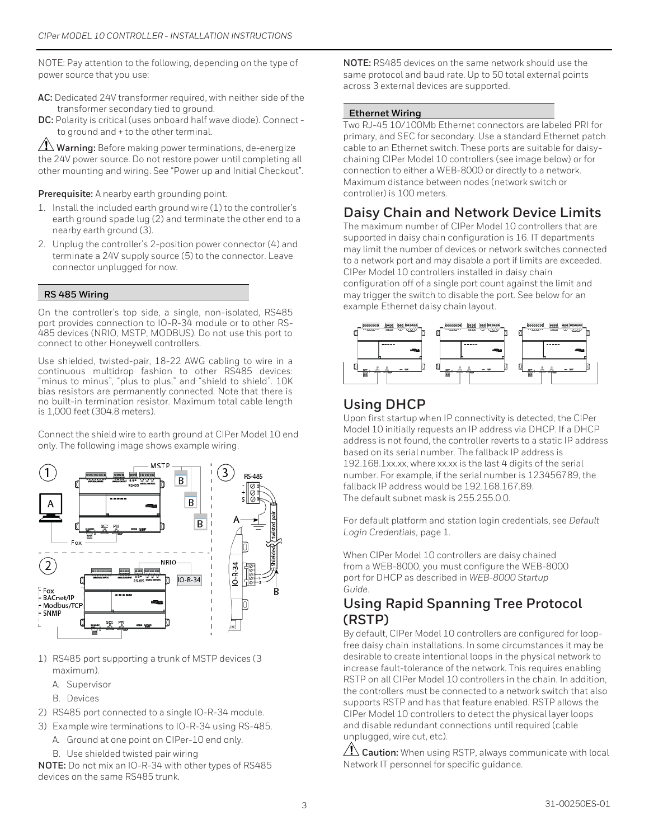NOTE: Pay attention to the following, depending on the type of power source that you use:

- **AC:** Dedicated 24V transformer required, with neither side of the transformer secondary tied to ground.
- **DC:** Polarity is critical (uses onboard half wave diode). Connect to ground and + to the other terminal.

**Warning:** Before making power terminations, de-energize the 24V power source. Do not restore power until completing all other mounting and wiring. See "Power up and Initial Checkout".

**Prerequisite:** A nearby earth grounding point.

- 1. Install the included earth ground wire (1) to the controller's earth ground spade lug (2) and terminate the other end to a nearby earth ground (3).
- 2. Unplug the controller's 2-position power connector (4) and terminate a 24V supply source (5) to the connector. Leave connector unplugged for now.

#### **RS 485 Wiring**

On the controller's top side, a single, non-isolated, RS485 port provides connection to IO-R-34 module or to other RS-485 devices (NRIO, MSTP, MODBUS). Do not use this port to connect to other Honeywell controllers.

Use shielded, twisted-pair, 18-22 AWG cabling to wire in a continuous multidrop fashion to other RS485 devices: "minus to minus", "plus to plus," and "shield to shield". 10K bias resistors are permanently connected. Note that there is no built-in termination resistor. Maximum total cable length is 1,000 feet (304.8 meters).

Connect the shield wire to earth ground at CIPer Model 10 end only. The following image shows example wiring.



- 1) RS485 port supporting a trunk of MSTP devices (3 maximum).
	- A. Supervisor
	- B. Devices
- 2) RS485 port connected to a single IO-R-34 module.
- 3) Example wire terminations to IO-R-34 using RS-485.
	- A. Ground at one point on CIPer-10 end only.
	- B. Use shielded twisted pair wiring

**NOTE:** Do not mix an IO-R-34 with other types of RS485 devices on the same RS485 trunk.

**NOTE:** RS485 devices on the same network should use the same protocol and baud rate. Up to 50 total external points across 3 external devices are supported.

#### **Ethernet Wiring**

Two RJ-45 10/100Mb Ethernet connectors are labeled PRI for primary, and SEC for secondary. Use a standard Ethernet patch cable to an Ethernet switch. These ports are suitable for daisychaining CIPer Model 10 controllers (see image below) or for connection to either a WEB-8000 or directly to a network. Maximum distance between nodes (network switch or controller) is 100 meters.

## **Daisy Chain and Network Device Limits**

The maximum number of CIPer Model 10 controllers that are supported in daisy chain configuration is 16. IT departments may limit the number of devices or network switches connected to a network port and may disable a port if limits are exceeded. CIPer Model 10 controllers installed in daisy chain configuration off of a single port count against the limit and may trigger the switch to disable the port. See below for an example Ethernet daisy chain layout.



## **Using DHCP**

Upon first startup when IP connectivity is detected, the CIPer Model 10 initially requests an IP address via DHCP. If a DHCP address is not found, the controller reverts to a static IP address based on its serial number. The fallback IP address is 192.168.1xx.xx, where xx.xx is the last 4 digits of the serial number. For example, if the serial number is 123456789, the fallback IP address would be 192.168.167.89. The default subnet mask is 255.255.0.0.

For default platform and station login credentials, see *Default Login Credentials,* page 1.

When CIPer Model 10 controllers are daisy chained from a WEB-8000, you must configure the WEB-8000 port for DHCP as described in *WEB-8000 Startup Guide*.

## **Using Rapid Spanning Tree Protocol (RSTP)**

By default, CIPer Model 10 controllers are configured for loopfree daisy chain installations. In some circumstances it may be desirable to create intentional loops in the physical network to increase fault-tolerance of the network. This requires enabling RSTP on all CIPer Model 10 controllers in the chain. In addition, the controllers must be connected to a network switch that also supports RSTP and has that feature enabled. RSTP allows the CIPer Model 10 controllers to detect the physical layer loops and disable redundant connections until required (cable unplugged, wire cut, etc).

**LAU** Caution: When using RSTP, always communicate with local Network IT personnel for specific guidance.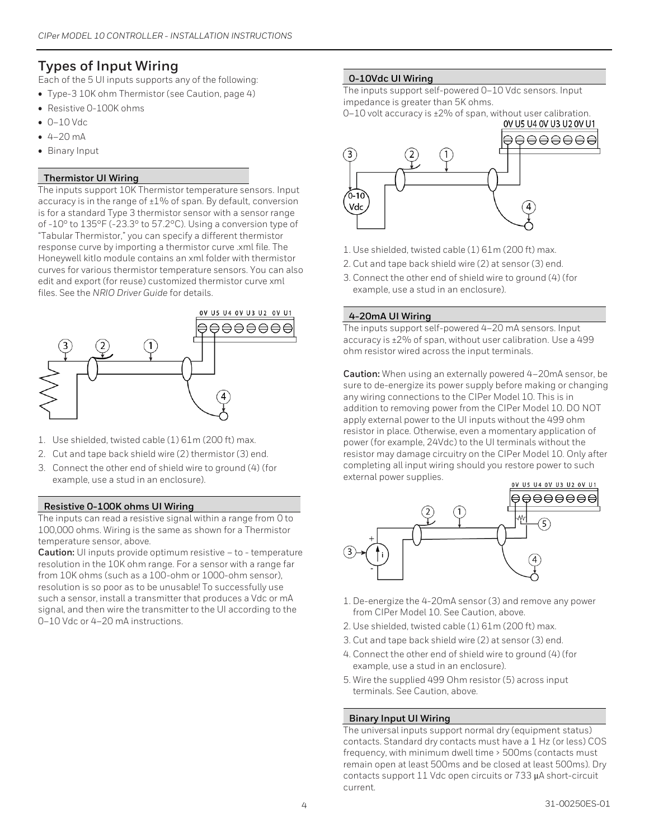## **Types of Input Wiring**

Each of the 5 UI inputs supports any of the following:

- Type-3 10K ohm Thermistor (see Caution, page 4)
- Resistive 0-100K ohms
- $\bullet$  0–10 Vdc
- $-4-20 \text{ mA}$
- Binary Input

## **Thermistor UI Wiring**

The inputs support 10K Thermistor temperature sensors. Input accuracy is in the range of  $\pm 1\%$  of span. By default, conversion is for a standard Type 3 thermistor sensor with a sensor range of -10° to 135°F (-23.3° to 57.2°C). Using a conversion type of "Tabular Thermistor," you can specify a different thermistor response curve by importing a thermistor curve .xml file. The Honeywell kitIo module contains an xml folder with thermistor curves for various thermistor temperature sensors. You can also edit and export (for reuse) customized thermistor curve xml files. See the *NRIO Driver Guide* for details.



- 1. Use shielded, twisted cable (1) 61m (200 ft) max.
- 2. Cut and tape back shield wire (2) thermistor (3) end.
- 3. Connect the other end of shield wire to ground (4) (for example, use a stud in an enclosure).

## **Resistive 0-100K ohms UI Wiring**

The inputs can read a resistive signal within a range from 0 to 100,000 ohms. Wiring is the same as shown for a Thermistor temperature sensor, above.

**Caution:** UI inputs provide optimum resistive – to - temperature resolution in the 10K ohm range. For a sensor with a range far from 10K ohms (such as a 100-ohm or 1000-ohm sensor), resolution is so poor as to be unusable! To successfully use such a sensor, install a transmitter that produces a Vdc or mA signal, and then wire the transmitter to the UI according to the 0–10 Vdc or 4–20 mA instructions.

## **0-10Vdc UI Wiring**

The inputs support self-powered 0–10 Vdc sensors. Input impedance is greater than 5K ohms.

0–10 volt accuracy is ±2% of span, without user calibration.



- 1. Use shielded, twisted cable (1) 61m (200 ft) max.
- 2. Cut and tape back shield wire (2) at sensor (3) end.
- 3. Connect the other end of shield wire to ground (4) (for example, use a stud in an enclosure).

#### **4-20mA UI Wiring**

The inputs support self-powered 4–20 mA sensors. Input accuracy is ±2% of span, without user calibration. Use a 499 ohm resistor wired across the input terminals.

**Caution:** When using an externally powered 4–20mA sensor, be sure to de-energize its power supply before making or changing any wiring connections to the CIPer Model 10. This is in addition to removing power from the CIPer Model 10. DO NOT apply external power to the UI inputs without the 499 ohm resistor in place. Otherwise, even a momentary application of power (for example, 24Vdc) to the UI terminals without the resistor may damage circuitry on the CIPer Model 10. Only after completing all input wiring should you restore power to such external power supplies.



- 1. De-energize the 4-20mA sensor (3) and remove any power from CIPer Model 10. See Caution, above.
- 2. Use shielded, twisted cable (1) 61m (200 ft) max.
- 3. Cut and tape back shield wire (2) at sensor (3) end.
- 4. Connect the other end of shield wire to ground (4) (for example, use a stud in an enclosure).
- 5. Wire the supplied 499 Ohm resistor (5) across input terminals. See Caution, above.

#### **Binary Input UI Wiring**

The universal inputs support normal dry (equipment status) contacts. Standard dry contacts must have a 1 Hz (or less) COS frequency, with minimum dwell time > 500ms (contacts must remain open at least 500ms and be closed at least 500ms). Dry contacts support 11 Vdc open circuits or 733 μA short-circuit current.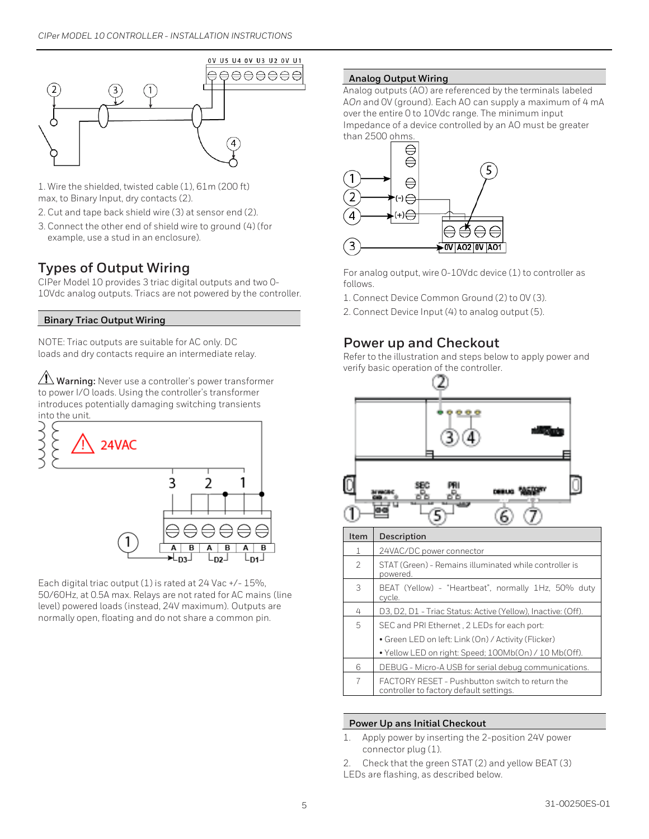

1. Wire the shielded, twisted cable (1), 61m (200 ft) max, to Binary Input, dry contacts (2).

- 2. Cut and tape back shield wire (3) at sensor end (2).
- 3. Connect the other end of shield wire to ground (4) (for example, use a stud in an enclosure).

## **Types of Output Wiring**

CIPer Model 10 provides 3 triac digital outputs and two 0- 10Vdc analog outputs. Triacs are not powered by the controller.

#### **Binary Triac Output Wiring**

NOTE: Triac outputs are suitable for AC only. DC loads and dry contacts require an intermediate relay.

**Warning:** Never use a controller's power transformer to power I/O loads. Using the controller's transformer introduces potentially damaging switching transients into the unit.



Each digital triac output (1) is rated at 24 Vac +/- 15%, 50/60Hz, at 0.5A max. Relays are not rated for AC mains (line level) powered loads (instead, 24V maximum). Outputs are normally open, floating and do not share a common pin.

## **Analog Output Wiring**

Analog outputs (AO) are referenced by the terminals labeled A*On* and 0V (ground). Each AO can supply a maximum of 4 mA over the entire 0 to 10Vdc range. The minimum input Impedance of a device controlled by an AO must be greater than 2500 ohms.



For analog output, wire 0-10Vdc device (1) to controller as follows.

- 1. Connect Device Common Ground (2) to 0V (3).
- 2. Connect Device Input (4) to analog output (5).

## **Power up and Checkout**

Refer to the illustration and steps below to apply power and verify basic operation of the controller.



#### **Power Up ans Initial Checkout**

- 1. Apply power by inserting the 2-position 24V power connector plug (1).
- 2. Check that the green STAT (2) and yellow BEAT (3) LEDs are flashing, as described below.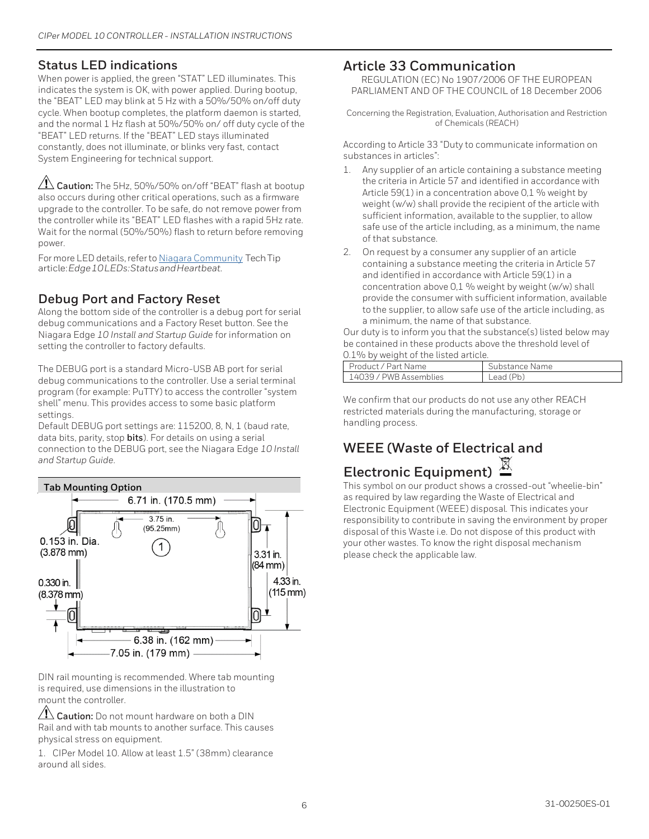## **Status LED indications**

When power is applied, the green "STAT" LED illuminates. This indicates the system is OK, with power applied. During bootup, the "BEAT" LED may blink at 5 Hz with a 50%/50% on/off duty cycle. When bootup completes, the platform daemon is started, and the normal 1 Hz flash at 50%/50% on/ off duty cycle of the "BEAT" LED returns. If the "BEAT" LED stays illuminated constantly, does not illuminate, or blinks very fast, contact System Engineering for technical support.

 $\overline{\Delta}$  **Caution:** The 5Hz, 50%/50% on/off "BEAT" flash at bootup also occurs during other critical operations, such as a firmware upgrade to the controller. To be safe, do not remove power from the controller while its "BEAT" LED flashes with a rapid 5Hz rate. Wait for the normal (50%/50%) flash to return before removing power.

For more LED details, refer to Niagara [Community](https://www.niagara-community.com/_ui/knowledge/ui/KnowledgeHome) Tech Tip article:*Edge10LEDs:StatusandHeartbeat.*

## **Debug Port and Factory Reset**

Along the bottom side of the controller is a debug port for serial debug communications and a Factory Reset button. See the Niagara Edge *10 Install and Startup Guide* for information on setting the controller to factory defaults.

The DEBUG port is a standard Micro-USB AB port for serial debug communications to the controller. Use a serial terminal program (for example: PuTTY) to access the controller "system shell" menu. This provides access to some basic platform settings.

Default DEBUG port settings are: 115200, 8, N, 1 (baud rate, data bits, parity, stop **bits**). For details on using a serial connection to the DEBUG port, see the Niagara Edge *10 Install and Startup Guide*.



DIN rail mounting is recommended. Where tab mounting is required, use dimensions in the illustration to mount the controller.

**Caution:** Do not mount hardware on both a DIN Rail and with tab mounts to another surface. This causes physical stress on equipment.

1. CIPer Model 10. Allow at least 1.5" (38mm) clearance around all sides.

## **Article 33 Communication**

REGULATION (EC) No 1907/2006 OF THE EUROPEAN PARLIAMENT AND OF THE COUNCIL of 18 December 2006

Concerning the Registration, Evaluation, Authorisation and Restriction of Chemicals (REACH)

According to Article 33 "Duty to communicate information on substances in articles":

- 1. Any supplier of an article containing a substance meeting the criteria in Article 57 and identified in accordance with Article 59(1) in a concentration above 0,1 % weight by weight (w/w) shall provide the recipient of the article with sufficient information, available to the supplier, to allow safe use of the article including, as a minimum, the name of that substance.
- 2. On request by a consumer any supplier of an article containing a substance meeting the criteria in Article 57 and identified in accordance with Article 59(1) in a concentration above 0,1 % weight by weight (w/w) shall provide the consumer with sufficient information, available to the supplier, to allow safe use of the article including, as a minimum, the name of that substance.

Our duty is to inform you that the substance(s) listed below may be contained in these products above the threshold level of 0.1% by weight of the listed article.

| O.L TO DY WORTH OF THE HOLDG BELIEVE. |                |  |  |  |  |  |
|---------------------------------------|----------------|--|--|--|--|--|
| Product / Part Name                   | Substance Name |  |  |  |  |  |
| 14039 / PWB Assemblies                | Lead (Pb)      |  |  |  |  |  |

We confirm that our products do not use any other REACH restricted materials during the manufacturing, storage or handling process.

# **WEEE (Waste of Electrical and Electronic Equipment)**

This symbol on our product shows a crossed-out "wheelie-bin" as required by law regarding the Waste of Electrical and Electronic Equipment (WEEE) disposal. This indicates your responsibility to contribute in saving the environment by proper disposal of this Waste i.e. Do not dispose of this product with your other wastes. To know the right disposal mechanism please check the applicable law.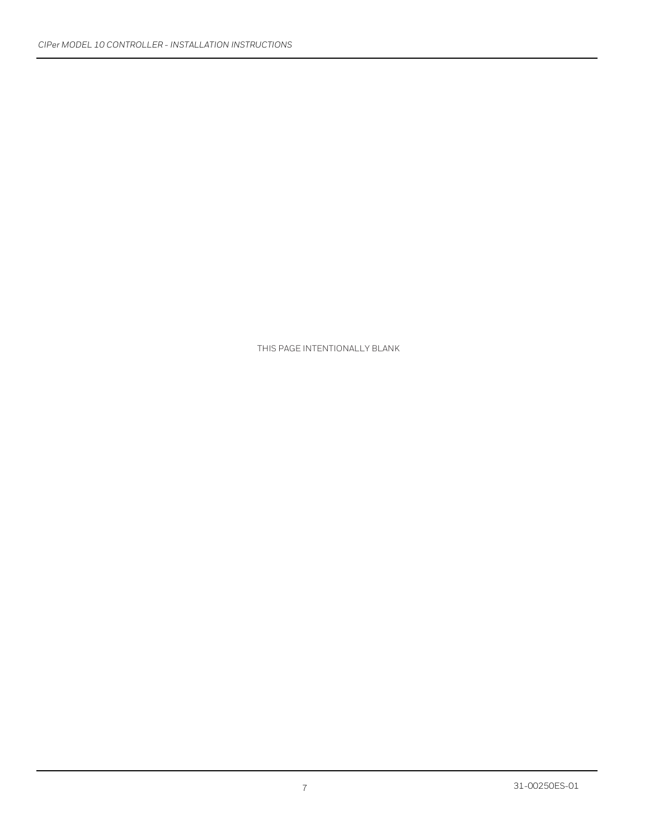THIS PAGE INTENTIONALLY BLANK